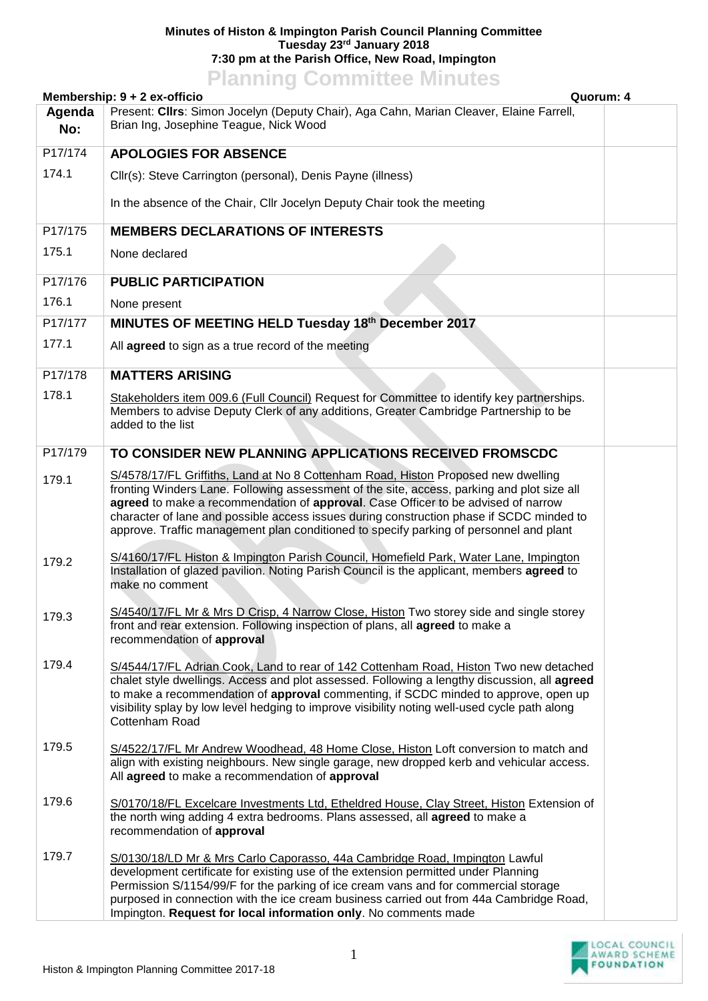## **Minutes of Histon & Impington Parish Council Planning Committee Tuesday 23rd January 2018 7:30 pm at the Parish Office, New Road, Impington**

## **Planning Committee Minutes**

|               | Membership: 9 + 2 ex-officio<br>Quorum: 4                                                                                                                                                                                                                                                                                                                                                                                                                  |  |
|---------------|------------------------------------------------------------------------------------------------------------------------------------------------------------------------------------------------------------------------------------------------------------------------------------------------------------------------------------------------------------------------------------------------------------------------------------------------------------|--|
| Agenda<br>No: | Present: Cllrs: Simon Jocelyn (Deputy Chair), Aga Cahn, Marian Cleaver, Elaine Farrell,<br>Brian Ing, Josephine Teague, Nick Wood                                                                                                                                                                                                                                                                                                                          |  |
| P17/174       | <b>APOLOGIES FOR ABSENCE</b>                                                                                                                                                                                                                                                                                                                                                                                                                               |  |
| 174.1         | Cllr(s): Steve Carrington (personal), Denis Payne (illness)                                                                                                                                                                                                                                                                                                                                                                                                |  |
|               | In the absence of the Chair, Cllr Jocelyn Deputy Chair took the meeting                                                                                                                                                                                                                                                                                                                                                                                    |  |
| P17/175       | <b>MEMBERS DECLARATIONS OF INTERESTS</b>                                                                                                                                                                                                                                                                                                                                                                                                                   |  |
| 175.1         | None declared                                                                                                                                                                                                                                                                                                                                                                                                                                              |  |
| P17/176       | <b>PUBLIC PARTICIPATION</b>                                                                                                                                                                                                                                                                                                                                                                                                                                |  |
| 176.1         | None present                                                                                                                                                                                                                                                                                                                                                                                                                                               |  |
| P17/177       | MINUTES OF MEETING HELD Tuesday 18th December 2017                                                                                                                                                                                                                                                                                                                                                                                                         |  |
| 177.1         | All agreed to sign as a true record of the meeting                                                                                                                                                                                                                                                                                                                                                                                                         |  |
| P17/178       | <b>MATTERS ARISING</b>                                                                                                                                                                                                                                                                                                                                                                                                                                     |  |
| 178.1         | Stakeholders item 009.6 (Full Council) Request for Committee to identify key partnerships.<br>Members to advise Deputy Clerk of any additions, Greater Cambridge Partnership to be<br>added to the list                                                                                                                                                                                                                                                    |  |
| P17/179       | TO CONSIDER NEW PLANNING APPLICATIONS RECEIVED FROMSCDC                                                                                                                                                                                                                                                                                                                                                                                                    |  |
| 179.1         | S/4578/17/FL Griffiths, Land at No 8 Cottenham Road, Histon Proposed new dwelling<br>fronting Winders Lane. Following assessment of the site, access, parking and plot size all<br>agreed to make a recommendation of approval. Case Officer to be advised of narrow<br>character of lane and possible access issues during construction phase if SCDC minded to<br>approve. Traffic management plan conditioned to specify parking of personnel and plant |  |
| 179.2         | S/4160/17/FL Histon & Impington Parish Council, Homefield Park, Water Lane, Impington<br>Installation of glazed pavilion. Noting Parish Council is the applicant, members agreed to<br>make no comment                                                                                                                                                                                                                                                     |  |
| 179.3         | S/4540/17/FL Mr & Mrs D Crisp, 4 Narrow Close, Histon Two storey side and single storey<br>front and rear extension. Following inspection of plans, all agreed to make a<br>recommendation of approval                                                                                                                                                                                                                                                     |  |
| 179.4         | S/4544/17/FL Adrian Cook, Land to rear of 142 Cottenham Road, Histon Two new detached<br>chalet style dwellings. Access and plot assessed. Following a lengthy discussion, all agreed<br>to make a recommendation of approval commenting, if SCDC minded to approve, open up<br>visibility splay by low level hedging to improve visibility noting well-used cycle path along<br>Cottenham Road                                                            |  |
| 179.5         | S/4522/17/FL Mr Andrew Woodhead, 48 Home Close, Histon Loft conversion to match and<br>align with existing neighbours. New single garage, new dropped kerb and vehicular access.<br>All agreed to make a recommendation of approval                                                                                                                                                                                                                        |  |
| 179.6         | S/0170/18/FL Excelcare Investments Ltd, Etheldred House, Clay Street, Histon Extension of<br>the north wing adding 4 extra bedrooms. Plans assessed, all agreed to make a<br>recommendation of approval                                                                                                                                                                                                                                                    |  |
| 179.7         | S/0130/18/LD Mr & Mrs Carlo Caporasso, 44a Cambridge Road, Impington Lawful<br>development certificate for existing use of the extension permitted under Planning<br>Permission S/1154/99/F for the parking of ice cream vans and for commercial storage<br>purposed in connection with the ice cream business carried out from 44a Cambridge Road,<br>Impington. Request for local information only. No comments made                                     |  |